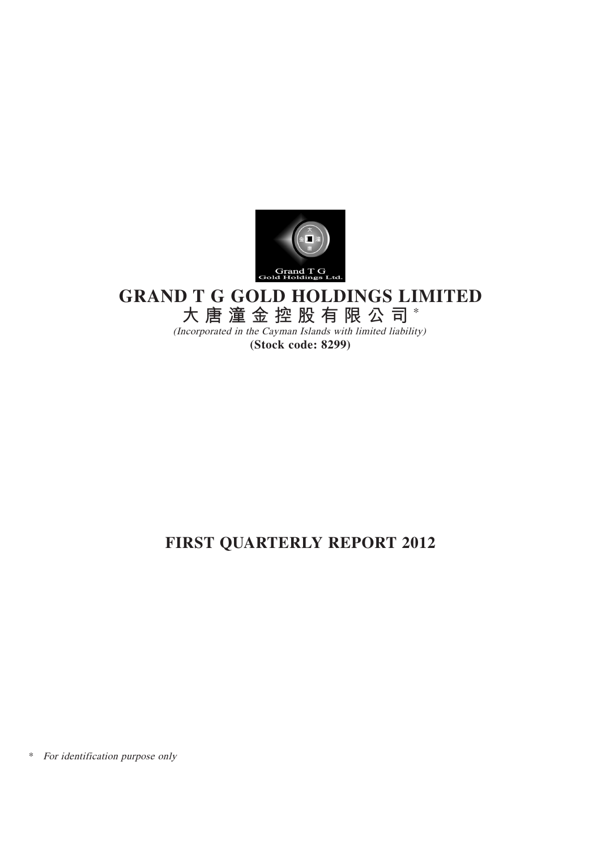

# **GRAND T G GOLD HOLDINGS LIMITED**

**大唐潼金控股有限公司** \*

(Incorporated in the Cayman Islands with limited liability) **(Stock code: 8299)**

# **FIRST QUARTERLY REPORT 2012**

\* For identification purpose only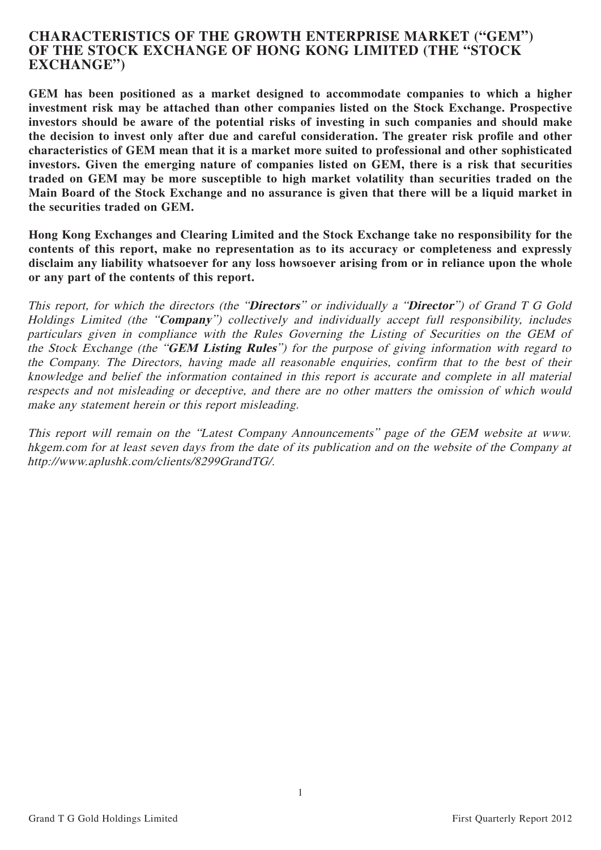## **CHARACTERISTICS OF THE GROWTH ENTERPRISE MARKET ("GEM") OF THE STOCK EXCHANGE OF HONG KONG LIMITED (THE "STOCK EXCHANGE")**

**GEM has been positioned as a market designed to accommodate companies to which a higher investment risk may be attached than other companies listed on the Stock Exchange. Prospective investors should be aware of the potential risks of investing in such companies and should make the decision to invest only after due and careful consideration. The greater risk profile and other characteristics of GEM mean that it is a market more suited to professional and other sophisticated investors. Given the emerging nature of companies listed on GEM, there is a risk that securities traded on GEM may be more susceptible to high market volatility than securities traded on the Main Board of the Stock Exchange and no assurance is given that there will be a liquid market in the securities traded on GEM.**

**Hong Kong Exchanges and Clearing Limited and the Stock Exchange take no responsibility for the contents of this report, make no representation as to its accuracy or completeness and expressly disclaim any liability whatsoever for any loss howsoever arising from or in reliance upon the whole or any part of the contents of this report.**

This report, for which the directors (the "**Directors**" or individually a "**Director**") of Grand T G Gold Holdings Limited (the "**Company**") collectively and individually accept full responsibility, includes particulars given in compliance with the Rules Governing the Listing of Securities on the GEM of the Stock Exchange (the "**GEM Listing Rules**") for the purpose of giving information with regard to the Company. The Directors, having made all reasonable enquiries, confirm that to the best of their knowledge and belief the information contained in this report is accurate and complete in all material respects and not misleading or deceptive, and there are no other matters the omission of which would make any statement herein or this report misleading.

This report will remain on the "Latest Company Announcements" page of the GEM website at www. hkgem.com for at least seven days from the date of its publication and on the website of the Company at http://www.aplushk.com/clients/8299GrandTG/.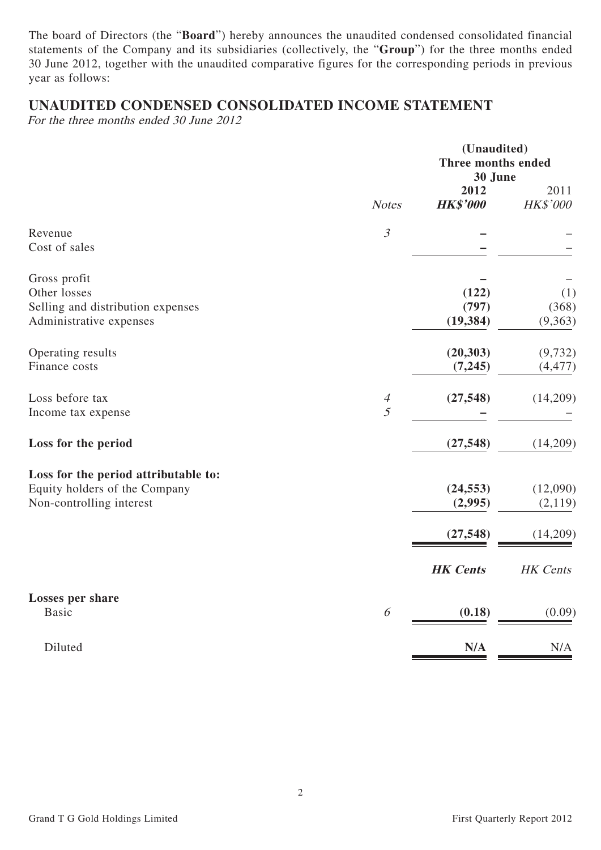The board of Directors (the "**Board**") hereby announces the unaudited condensed consolidated financial statements of the Company and its subsidiaries (collectively, the "**Group**") for the three months ended 30 June 2012, together with the unaudited comparative figures for the corresponding periods in previous year as follows:

# **UNAUDITED CONDENSED CONSOLIDATED INCOME STATEMENT**

For the three months ended 30 June 2012

|                                                                                                   |                                  | (Unaudited)<br>Three months ended<br>30 June |                         |  |
|---------------------------------------------------------------------------------------------------|----------------------------------|----------------------------------------------|-------------------------|--|
|                                                                                                   | <b>Notes</b>                     | 2012<br><b>HK\$'000</b>                      | 2011<br>HK\$'000        |  |
| Revenue<br>Cost of sales                                                                          | $\mathfrak{Z}$                   |                                              |                         |  |
| Gross profit<br>Other losses<br>Selling and distribution expenses<br>Administrative expenses      |                                  | (122)<br>(797)<br>(19, 384)                  | (1)<br>(368)<br>(9,363) |  |
| Operating results<br>Finance costs                                                                |                                  | (20, 303)<br>(7, 245)                        | (9, 732)<br>(4, 477)    |  |
| Loss before tax<br>Income tax expense                                                             | $\overline{4}$<br>$\overline{5}$ | (27, 548)                                    | (14,209)                |  |
| Loss for the period                                                                               |                                  | (27, 548)                                    | (14,209)                |  |
| Loss for the period attributable to:<br>Equity holders of the Company<br>Non-controlling interest |                                  | (24, 553)<br>(2,995)                         | (12,090)<br>(2,119)     |  |
|                                                                                                   |                                  | (27, 548)                                    | (14,209)                |  |
|                                                                                                   |                                  | <b>HK</b> Cents                              | HK Cents                |  |
| Losses per share<br><b>Basic</b>                                                                  | 6                                | (0.18)                                       | (0.09)                  |  |
| Diluted                                                                                           |                                  | N/A                                          | N/A                     |  |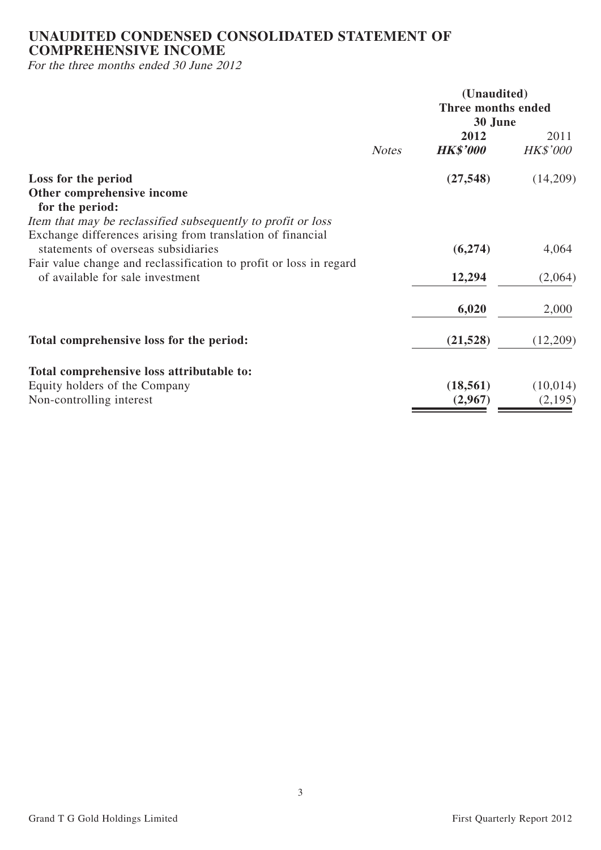# **UNAUDITED CONDENSED CONSOLIDATED STATEMENT OF COMPREHENSIVE INCOME**

For the three months ended 30 June 2012

|                                                                                                                                                                         |              | (Unaudited)<br>Three months ended<br>30 June |                         |  |
|-------------------------------------------------------------------------------------------------------------------------------------------------------------------------|--------------|----------------------------------------------|-------------------------|--|
|                                                                                                                                                                         | <b>Notes</b> | 2012<br><b>HK\$'000</b>                      | 2011<br><b>HK\$'000</b> |  |
| Loss for the period<br>Other comprehensive income<br>for the period:<br>Item that may be reclassified subsequently to profit or loss                                    |              | (27, 548)                                    | (14,209)                |  |
| Exchange differences arising from translation of financial<br>statements of overseas subsidiaries<br>Fair value change and reclassification to profit or loss in regard |              | (6,274)                                      | 4,064                   |  |
| of available for sale investment                                                                                                                                        |              | 12,294                                       | (2,064)                 |  |
|                                                                                                                                                                         |              | 6,020                                        | 2,000                   |  |
| Total comprehensive loss for the period:                                                                                                                                |              | (21, 528)                                    | (12,209)                |  |
| Total comprehensive loss attributable to:                                                                                                                               |              |                                              |                         |  |
| Equity holders of the Company<br>Non-controlling interest                                                                                                               |              | (18, 561)<br>(2,967)                         | (10,014)<br>(2,195)     |  |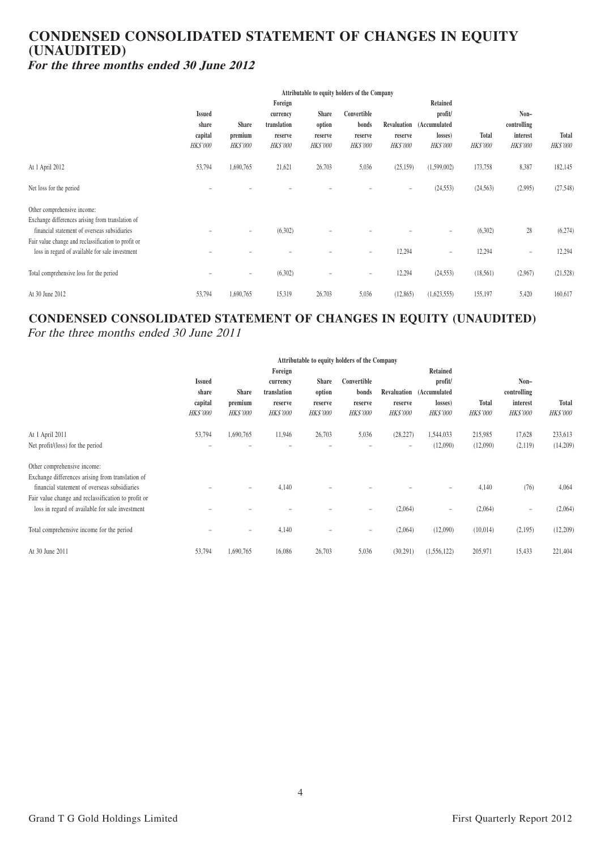## **CONDENSED CONSOLIDATED STATEMENT OF CHANGES IN EQUITY (UNAUDITED) For the three months ended 30 June 2012**

|                                                     | Attributable to equity holders of the Company |                          |                 |                          |                   |                   |                          |                 |                 |                 |
|-----------------------------------------------------|-----------------------------------------------|--------------------------|-----------------|--------------------------|-------------------|-------------------|--------------------------|-----------------|-----------------|-----------------|
|                                                     | Foreign<br>Retained                           |                          |                 |                          |                   |                   |                          |                 |                 |                 |
|                                                     | <b>Issued</b>                                 |                          | currency        | <b>Share</b>             | Convertible       |                   | profit/                  |                 | $Non-$          |                 |
|                                                     | share                                         | <b>Share</b>             | translation     | option                   | bonds             |                   | Revaluation (Accumulated |                 | controlling     |                 |
|                                                     | capital                                       | premium                  | reserve         | reserve                  | reserve           | reserve           | losses)                  | Total           | interest        | <b>Total</b>    |
|                                                     | <b>HK\$'000</b>                               | <b>HK\$'000</b>          | <b>HK\$'000</b> | <b>HK\$'000</b>          | <b>HK\$'000</b>   | <b>HK\$'000</b>   | <b>HK\$'000</b>          | <b>HK\$'000</b> | <b>HK\$'000</b> | <b>HK\$'000</b> |
| At 1 April 2012                                     | 53,794                                        | 1,690,765                | 21,621          | 26,703                   | 5,036             | (25, 159)         | (1,599,002)              | 173,758         | 8,387           | 182,145         |
| Net loss for the period                             |                                               |                          |                 |                          |                   | $\qquad \qquad -$ | (24, 553)                | (24, 563)       | (2,995)         | (27, 548)       |
| Other comprehensive income:                         |                                               |                          |                 |                          |                   |                   |                          |                 |                 |                 |
| Exchange differences arising from translation of    |                                               |                          |                 |                          |                   |                   |                          |                 |                 |                 |
| financial statement of overseas subsidiaries        |                                               | $\overline{\phantom{a}}$ | (6,302)         |                          |                   |                   | $\overline{\phantom{0}}$ | (6,302)         | 28              | (6,274)         |
| Fair value change and reclassification to profit or |                                               |                          |                 |                          |                   |                   |                          |                 |                 |                 |
| loss in regard of available for sale investment     |                                               |                          |                 |                          |                   | 12,294            | -                        | 12,294          |                 | 12,294          |
| Total comprehensive loss for the period             |                                               | $\overline{\phantom{m}}$ | (6,302)         | $\overline{\phantom{0}}$ | $\qquad \qquad -$ | 12,294            | (24, 553)                | (18,561)        | (2,967)         | (21, 528)       |
|                                                     |                                               |                          |                 |                          |                   |                   |                          |                 |                 |                 |
| At 30 June 2012                                     | 53,794                                        | 1,690,765                | 15,319          | 26,703                   | 5,036             | (12, 865)         | (1,623,555)              | 155,197         | 5,420           | 160,617         |

# **CONDENSED CONSOLIDATED STATEMENT OF CHANGES IN EQUITY (UNAUDITED)**

For the three months ended 30 June 2011

|                                                     | Attributable to equity holders of the Company |                          |                                    |                          |                                    |           |                                    |              |                                    |              |
|-----------------------------------------------------|-----------------------------------------------|--------------------------|------------------------------------|--------------------------|------------------------------------|-----------|------------------------------------|--------------|------------------------------------|--------------|
|                                                     | Retained<br>Foreign                           |                          |                                    |                          |                                    |           |                                    |              |                                    |              |
|                                                     | <b>Issued</b>                                 |                          | currency                           | <b>Share</b>             | Convertible                        |           | profit/                            |              | $Non-$                             |              |
|                                                     | share                                         | <b>Share</b>             | translation                        | option                   | bonds                              |           | Revaluation (Accumulated           |              | controlling                        |              |
|                                                     | capital                                       | premium                  | reserve                            | reserve                  | reserve                            | reserve   | losses)                            | <b>Total</b> | interest                           | <b>Total</b> |
|                                                     | <b>HK\$'000</b>                               | <b>HK\$'000</b>          | <b>HK\$'000</b><br><b>HK\$'000</b> |                          | <b>HK\$'000</b><br><b>HK\$'000</b> |           | <b>HK\$'000</b><br><b>HK\$'000</b> |              | <b>HK\$'000</b><br><b>HK\$'000</b> |              |
| At 1 April 2011                                     | 53,794                                        | 1,690,765                | 11,946                             | 26,703                   | 5,036                              | (28, 227) | 1,544,033                          | 215,985      | 17,628                             | 233,613      |
| Net profit/(loss) for the period                    |                                               | -                        |                                    |                          |                                    | -         | (12,090)                           | (12,090)     | (2,119)                            | (14,209)     |
| Other comprehensive income:                         |                                               |                          |                                    |                          |                                    |           |                                    |              |                                    |              |
| Exchange differences arising from translation of    |                                               |                          |                                    |                          |                                    |           |                                    |              |                                    |              |
| financial statement of overseas subsidiaries        |                                               | $\overline{\phantom{0}}$ | 4,140                              |                          |                                    |           |                                    | 4,140        | (76)                               | 4,064        |
| Fair value change and reclassification to profit or |                                               |                          |                                    |                          |                                    |           |                                    |              |                                    |              |
| loss in regard of available for sale investment     |                                               |                          |                                    |                          |                                    | (2,064)   | $\overline{\phantom{0}}$           | (2,064)      | $\overline{\phantom{0}}$           | (2,064)      |
| Total comprehensive income for the period           |                                               | $\qquad \qquad =$        | 4,140                              | $\overline{\phantom{0}}$ | $\equiv$                           | (2,064)   | (12,090)                           | (10,014)     | (2,195)                            | (12,209)     |
|                                                     |                                               |                          |                                    |                          |                                    |           |                                    |              |                                    |              |
| At 30 June 2011                                     | 53,794                                        | 1,690,765                | 16,086                             | 26,703                   | 5,036                              | (30,291)  | (1, 556, 122)                      | 205,971      | 15,433                             | 221,404      |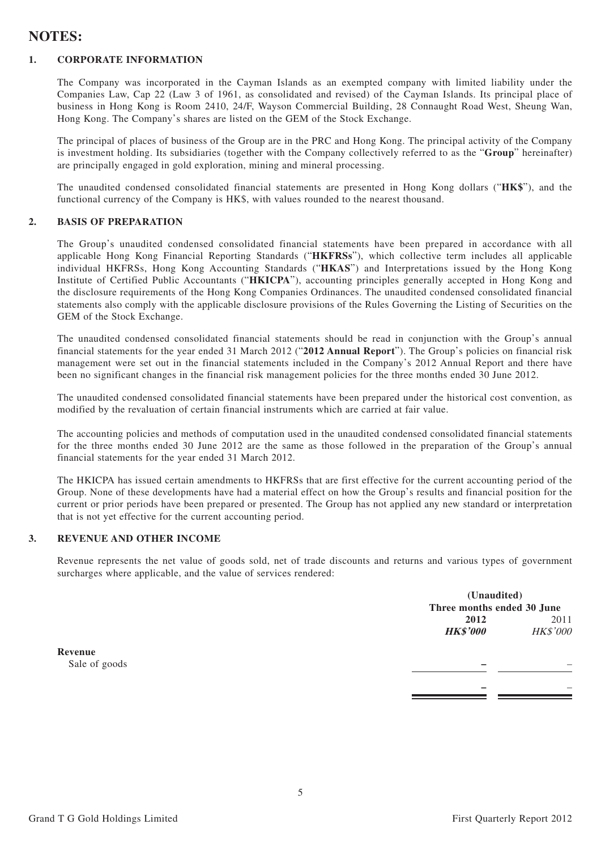## **NOTES:**

#### **1. CORPORATE INFORMATION**

The Company was incorporated in the Cayman Islands as an exempted company with limited liability under the Companies Law, Cap 22 (Law 3 of 1961, as consolidated and revised) of the Cayman Islands. Its principal place of business in Hong Kong is Room 2410, 24/F, Wayson Commercial Building, 28 Connaught Road West, Sheung Wan, Hong Kong. The Company's shares are listed on the GEM of the Stock Exchange.

The principal of places of business of the Group are in the PRC and Hong Kong. The principal activity of the Company is investment holding. Its subsidiaries (together with the Company collectively referred to as the "**Group**" hereinafter) are principally engaged in gold exploration, mining and mineral processing.

The unaudited condensed consolidated financial statements are presented in Hong Kong dollars ("**HK\$**"), and the functional currency of the Company is HK\$, with values rounded to the nearest thousand.

#### **2. BASIS OF PREPARATION**

The Group's unaudited condensed consolidated financial statements have been prepared in accordance with all applicable Hong Kong Financial Reporting Standards ("**HKFRSs**"), which collective term includes all applicable individual HKFRSs, Hong Kong Accounting Standards ("**HKAS**") and Interpretations issued by the Hong Kong Institute of Certified Public Accountants ("**HKICPA**"), accounting principles generally accepted in Hong Kong and the disclosure requirements of the Hong Kong Companies Ordinances. The unaudited condensed consolidated financial statements also comply with the applicable disclosure provisions of the Rules Governing the Listing of Securities on the GEM of the Stock Exchange.

The unaudited condensed consolidated financial statements should be read in conjunction with the Group's annual financial statements for the year ended 31 March 2012 ("**2012 Annual Report**"). The Group's policies on financial risk management were set out in the financial statements included in the Company's 2012 Annual Report and there have been no significant changes in the financial risk management policies for the three months ended 30 June 2012.

The unaudited condensed consolidated financial statements have been prepared under the historical cost convention, as modified by the revaluation of certain financial instruments which are carried at fair value.

The accounting policies and methods of computation used in the unaudited condensed consolidated financial statements for the three months ended 30 June 2012 are the same as those followed in the preparation of the Group's annual financial statements for the year ended 31 March 2012.

The HKICPA has issued certain amendments to HKFRSs that are first effective for the current accounting period of the Group. None of these developments have had a material effect on how the Group's results and financial position for the current or prior periods have been prepared or presented. The Group has not applied any new standard or interpretation that is not yet effective for the current accounting period.

#### **3. REVENUE AND OTHER INCOME**

Revenue represents the net value of goods sold, net of trade discounts and returns and various types of government surcharges where applicable, and the value of services rendered:

|               |                            | (Unaudited) |  |  |
|---------------|----------------------------|-------------|--|--|
|               | Three months ended 30 June |             |  |  |
|               | 2012                       | 2011        |  |  |
|               | <b>HK\$'000</b>            | HK\$'000    |  |  |
| Revenue       |                            |             |  |  |
| Sale of goods |                            |             |  |  |
|               |                            |             |  |  |
|               |                            |             |  |  |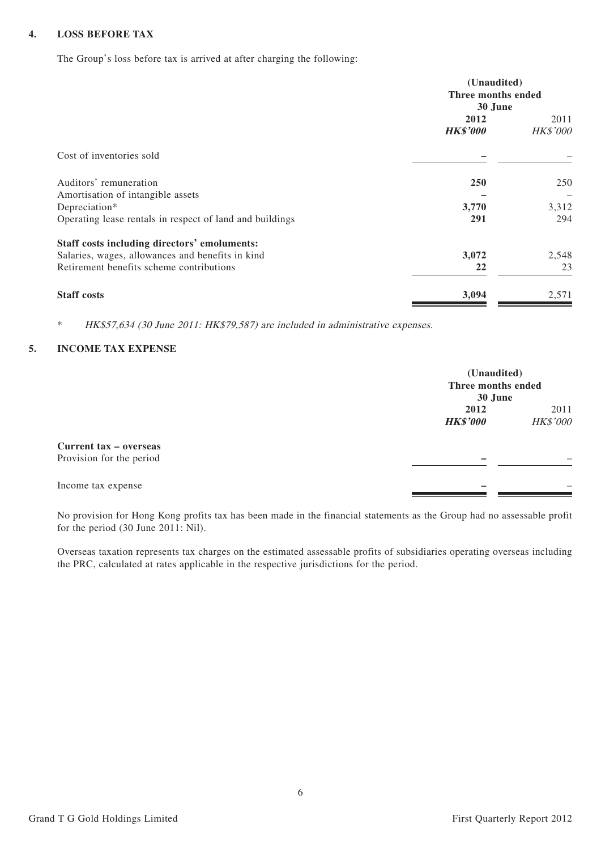#### **4. LOSS BEFORE TAX**

The Group's loss before tax is arrived at after charging the following:

|                                                          | (Unaudited)<br>Three months ended<br>30 June |                  |  |
|----------------------------------------------------------|----------------------------------------------|------------------|--|
|                                                          | 2012<br><b>HK\$'000</b>                      | 2011<br>HK\$'000 |  |
| Cost of inventories sold                                 |                                              |                  |  |
| Auditors' remuneration                                   | <b>250</b>                                   | 250              |  |
| Amortisation of intangible assets<br>Depreciation*       | 3,770                                        | 3,312            |  |
| Operating lease rentals in respect of land and buildings | 291                                          | 294              |  |
| Staff costs including directors' emoluments:             |                                              |                  |  |
| Salaries, wages, allowances and benefits in kind         | 3,072                                        | 2,548            |  |
| Retirement benefits scheme contributions                 | 22                                           | 23               |  |
| <b>Staff costs</b>                                       | 3,094                                        | 2,571            |  |

\* HK\$57,634 (30 June 2011: HK\$79,587) are included in administrative expenses.

#### **5. INCOME TAX EXPENSE**

|                                                    | (Unaudited)<br>Three months ended<br>30 June |                         |
|----------------------------------------------------|----------------------------------------------|-------------------------|
|                                                    | 2012<br><b>HK\$'000</b>                      | 2011<br><b>HK\$'000</b> |
| Current tax – overseas<br>Provision for the period |                                              |                         |
| Income tax expense                                 |                                              |                         |

No provision for Hong Kong profits tax has been made in the financial statements as the Group had no assessable profit for the period (30 June 2011: Nil).

Overseas taxation represents tax charges on the estimated assessable profits of subsidiaries operating overseas including the PRC, calculated at rates applicable in the respective jurisdictions for the period.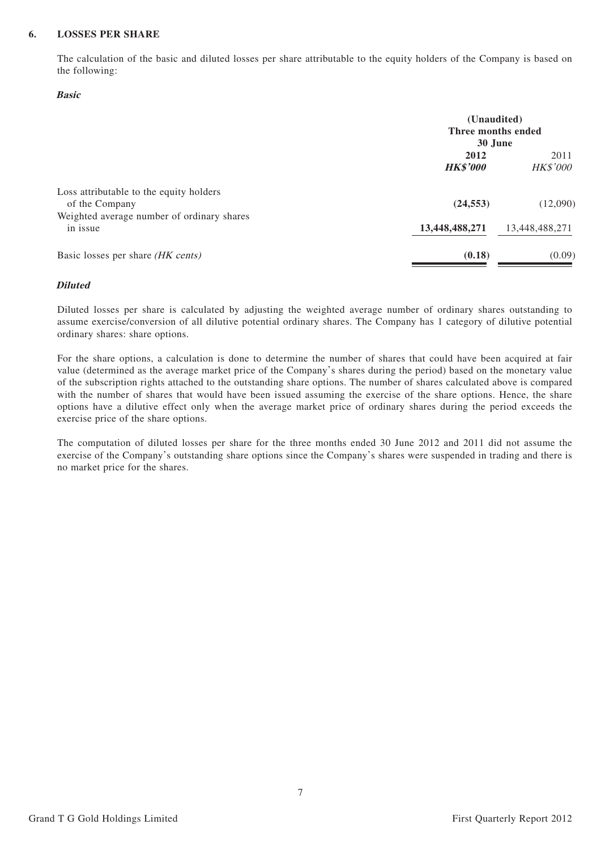#### **6. LOSSES PER SHARE**

The calculation of the basic and diluted losses per share attributable to the equity holders of the Company is based on the following:

#### **Basic**

|                                                           | (Unaudited)<br>Three months ended<br>30 June |                         |  |
|-----------------------------------------------------------|----------------------------------------------|-------------------------|--|
|                                                           |                                              |                         |  |
|                                                           | 2012<br><b>HK\$'000</b>                      | 2011<br><b>HK\$'000</b> |  |
| Loss attributable to the equity holders<br>of the Company | (24, 553)                                    | (12,090)                |  |
| Weighted average number of ordinary shares<br>in issue    | 13,448,488,271                               | 13,448,488,271          |  |
| Basic losses per share (HK cents)                         | (0.18)                                       | (0.09)                  |  |

#### **Diluted**

Diluted losses per share is calculated by adjusting the weighted average number of ordinary shares outstanding to assume exercise/conversion of all dilutive potential ordinary shares. The Company has 1 category of dilutive potential ordinary shares: share options.

For the share options, a calculation is done to determine the number of shares that could have been acquired at fair value (determined as the average market price of the Company's shares during the period) based on the monetary value of the subscription rights attached to the outstanding share options. The number of shares calculated above is compared with the number of shares that would have been issued assuming the exercise of the share options. Hence, the share options have a dilutive effect only when the average market price of ordinary shares during the period exceeds the exercise price of the share options.

The computation of diluted losses per share for the three months ended 30 June 2012 and 2011 did not assume the exercise of the Company's outstanding share options since the Company's shares were suspended in trading and there is no market price for the shares.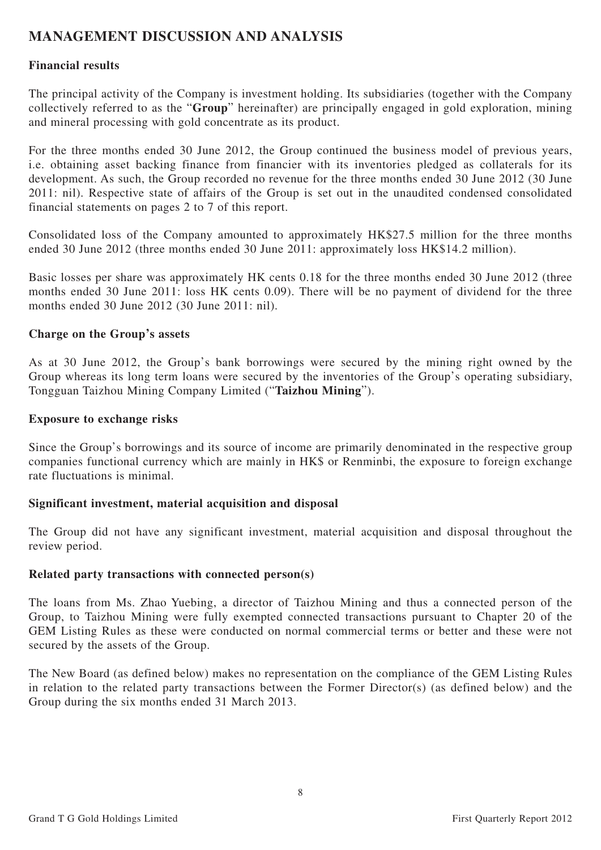# **MANAGEMENT DISCUSSION AND ANALYSIS**

### **Financial results**

The principal activity of the Company is investment holding. Its subsidiaries (together with the Company collectively referred to as the "**Group**" hereinafter) are principally engaged in gold exploration, mining and mineral processing with gold concentrate as its product.

For the three months ended 30 June 2012, the Group continued the business model of previous years, i.e. obtaining asset backing finance from financier with its inventories pledged as collaterals for its development. As such, the Group recorded no revenue for the three months ended 30 June 2012 (30 June 2011: nil). Respective state of affairs of the Group is set out in the unaudited condensed consolidated financial statements on pages 2 to 7 of this report.

Consolidated loss of the Company amounted to approximately HK\$27.5 million for the three months ended 30 June 2012 (three months ended 30 June 2011: approximately loss HK\$14.2 million).

Basic losses per share was approximately HK cents 0.18 for the three months ended 30 June 2012 (three months ended 30 June 2011: loss HK cents 0.09). There will be no payment of dividend for the three months ended 30 June 2012 (30 June 2011: nil).

### **Charge on the Group's assets**

As at 30 June 2012, the Group's bank borrowings were secured by the mining right owned by the Group whereas its long term loans were secured by the inventories of the Group's operating subsidiary, Tongguan Taizhou Mining Company Limited ("**Taizhou Mining**").

#### **Exposure to exchange risks**

Since the Group's borrowings and its source of income are primarily denominated in the respective group companies functional currency which are mainly in HK\$ or Renminbi, the exposure to foreign exchange rate fluctuations is minimal.

### **Significant investment, material acquisition and disposal**

The Group did not have any significant investment, material acquisition and disposal throughout the review period.

#### **Related party transactions with connected person(s)**

The loans from Ms. Zhao Yuebing, a director of Taizhou Mining and thus a connected person of the Group, to Taizhou Mining were fully exempted connected transactions pursuant to Chapter 20 of the GEM Listing Rules as these were conducted on normal commercial terms or better and these were not secured by the assets of the Group.

The New Board (as defined below) makes no representation on the compliance of the GEM Listing Rules in relation to the related party transactions between the Former Director(s) (as defined below) and the Group during the six months ended 31 March 2013.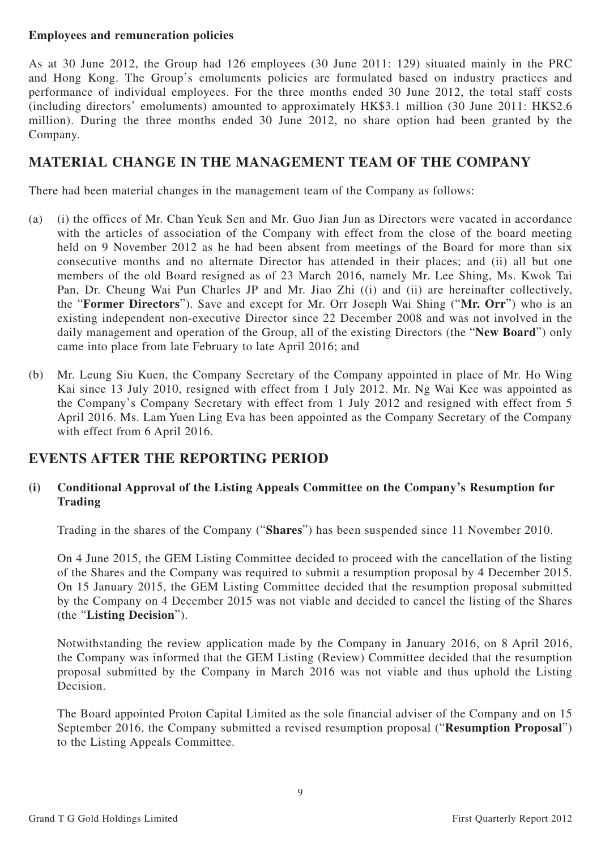### **Employees and remuneration policies**

As at 30 June 2012, the Group had 126 employees (30 June 2011: 129) situated mainly in the PRC and Hong Kong. The Group's emoluments policies are formulated based on industry practices and performance of individual employees. For the three months ended 30 June 2012, the total staff costs (including directors' emoluments) amounted to approximately HK\$3.1 million (30 June 2011: HK\$2.6 million). During the three months ended 30 June 2012, no share option had been granted by the Company.

# **MATERIAL CHANGE IN THE MANAGEMENT TEAM OF THE COMPANY**

There had been material changes in the management team of the Company as follows:

- (a) (i) the offices of Mr. Chan Yeuk Sen and Mr. Guo Jian Jun as Directors were vacated in accordance with the articles of association of the Company with effect from the close of the board meeting held on 9 November 2012 as he had been absent from meetings of the Board for more than six consecutive months and no alternate Director has attended in their places; and (ii) all but one members of the old Board resigned as of 23 March 2016, namely Mr. Lee Shing, Ms. Kwok Tai Pan, Dr. Cheung Wai Pun Charles JP and Mr. Jiao Zhi ((i) and (ii) are hereinafter collectively, the "**Former Directors**"). Save and except for Mr. Orr Joseph Wai Shing ("**Mr. Orr**") who is an existing independent non-executive Director since 22 December 2008 and was not involved in the daily management and operation of the Group, all of the existing Directors (the "**New Board**") only came into place from late February to late April 2016; and
- (b) Mr. Leung Siu Kuen, the Company Secretary of the Company appointed in place of Mr. Ho Wing Kai since 13 July 2010, resigned with effect from 1 July 2012. Mr. Ng Wai Kee was appointed as the Company's Company Secretary with effect from 1 July 2012 and resigned with effect from 5 April 2016. Ms. Lam Yuen Ling Eva has been appointed as the Company Secretary of the Company with effect from 6 April 2016.

# **EVENTS AFTER THE REPORTING PERIOD**

### **(i) Conditional Approval of the Listing Appeals Committee on the Company's Resumption for Trading**

Trading in the shares of the Company ("**Shares**") has been suspended since 11 November 2010.

On 4 June 2015, the GEM Listing Committee decided to proceed with the cancellation of the listing of the Shares and the Company was required to submit a resumption proposal by 4 December 2015. On 15 January 2015, the GEM Listing Committee decided that the resumption proposal submitted by the Company on 4 December 2015 was not viable and decided to cancel the listing of the Shares (the "**Listing Decision**").

Notwithstanding the review application made by the Company in January 2016, on 8 April 2016, the Company was informed that the GEM Listing (Review) Committee decided that the resumption proposal submitted by the Company in March 2016 was not viable and thus uphold the Listing Decision.

The Board appointed Proton Capital Limited as the sole financial adviser of the Company and on 15 September 2016, the Company submitted a revised resumption proposal ("**Resumption Proposal**") to the Listing Appeals Committee.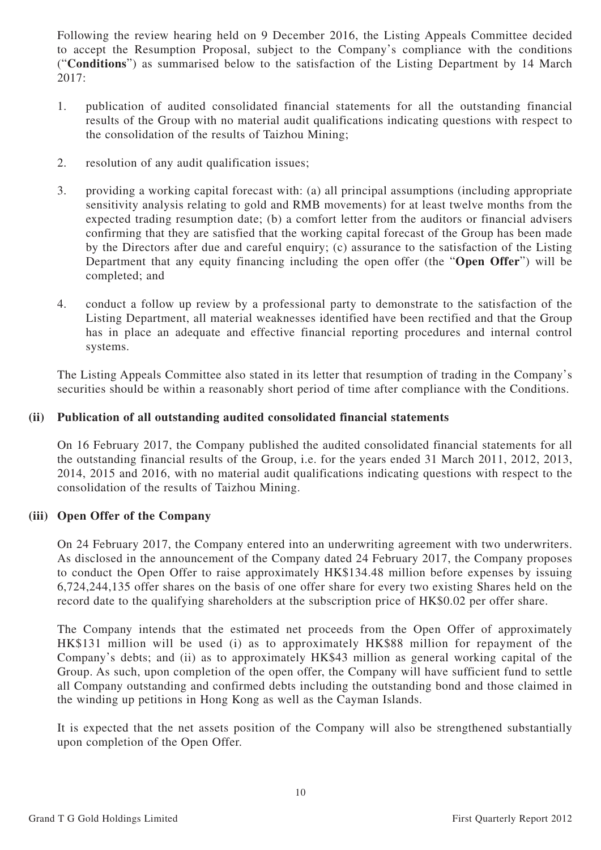Following the review hearing held on 9 December 2016, the Listing Appeals Committee decided to accept the Resumption Proposal, subject to the Company's compliance with the conditions ("**Conditions**") as summarised below to the satisfaction of the Listing Department by 14 March 2017:

- 1. publication of audited consolidated financial statements for all the outstanding financial results of the Group with no material audit qualifications indicating questions with respect to the consolidation of the results of Taizhou Mining;
- 2. resolution of any audit qualification issues;
- 3. providing a working capital forecast with: (a) all principal assumptions (including appropriate sensitivity analysis relating to gold and RMB movements) for at least twelve months from the expected trading resumption date; (b) a comfort letter from the auditors or financial advisers confirming that they are satisfied that the working capital forecast of the Group has been made by the Directors after due and careful enquiry; (c) assurance to the satisfaction of the Listing Department that any equity financing including the open offer (the "**Open Offer**") will be completed; and
- 4. conduct a follow up review by a professional party to demonstrate to the satisfaction of the Listing Department, all material weaknesses identified have been rectified and that the Group has in place an adequate and effective financial reporting procedures and internal control systems.

The Listing Appeals Committee also stated in its letter that resumption of trading in the Company's securities should be within a reasonably short period of time after compliance with the Conditions.

## **(ii) Publication of all outstanding audited consolidated financial statements**

On 16 February 2017, the Company published the audited consolidated financial statements for all the outstanding financial results of the Group, i.e. for the years ended 31 March 2011, 2012, 2013, 2014, 2015 and 2016, with no material audit qualifications indicating questions with respect to the consolidation of the results of Taizhou Mining.

### **(iii) Open Offer of the Company**

On 24 February 2017, the Company entered into an underwriting agreement with two underwriters. As disclosed in the announcement of the Company dated 24 February 2017, the Company proposes to conduct the Open Offer to raise approximately HK\$134.48 million before expenses by issuing 6,724,244,135 offer shares on the basis of one offer share for every two existing Shares held on the record date to the qualifying shareholders at the subscription price of HK\$0.02 per offer share.

The Company intends that the estimated net proceeds from the Open Offer of approximately HK\$131 million will be used (i) as to approximately HK\$88 million for repayment of the Company's debts; and (ii) as to approximately HK\$43 million as general working capital of the Group. As such, upon completion of the open offer, the Company will have sufficient fund to settle all Company outstanding and confirmed debts including the outstanding bond and those claimed in the winding up petitions in Hong Kong as well as the Cayman Islands.

It is expected that the net assets position of the Company will also be strengthened substantially upon completion of the Open Offer.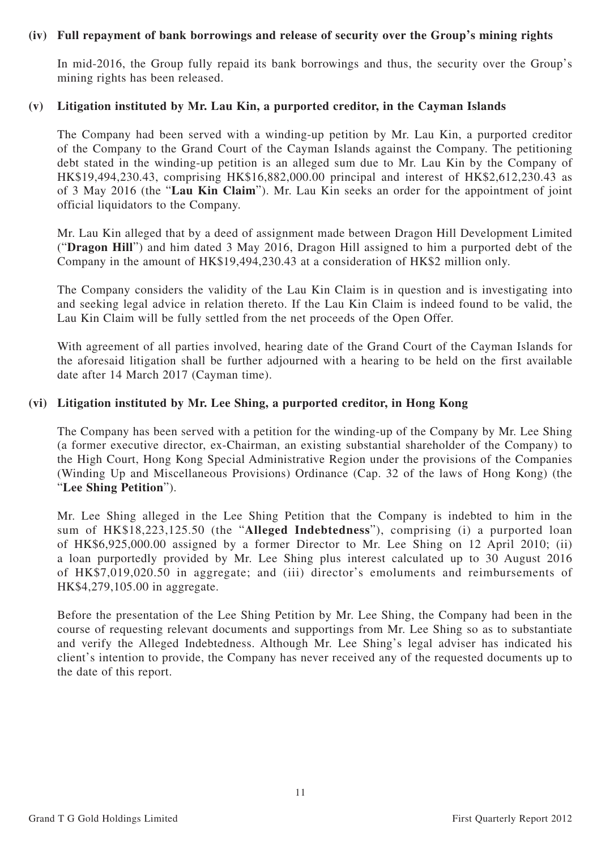#### **(iv) Full repayment of bank borrowings and release of security over the Group's mining rights**

In mid-2016, the Group fully repaid its bank borrowings and thus, the security over the Group's mining rights has been released.

#### **(v) Litigation instituted by Mr. Lau Kin, a purported creditor, in the Cayman Islands**

The Company had been served with a winding-up petition by Mr. Lau Kin, a purported creditor of the Company to the Grand Court of the Cayman Islands against the Company. The petitioning debt stated in the winding-up petition is an alleged sum due to Mr. Lau Kin by the Company of HK\$19,494,230.43, comprising HK\$16,882,000.00 principal and interest of HK\$2,612,230.43 as of 3 May 2016 (the "**Lau Kin Claim**"). Mr. Lau Kin seeks an order for the appointment of joint official liquidators to the Company.

Mr. Lau Kin alleged that by a deed of assignment made between Dragon Hill Development Limited ("**Dragon Hill**") and him dated 3 May 2016, Dragon Hill assigned to him a purported debt of the Company in the amount of HK\$19,494,230.43 at a consideration of HK\$2 million only.

The Company considers the validity of the Lau Kin Claim is in question and is investigating into and seeking legal advice in relation thereto. If the Lau Kin Claim is indeed found to be valid, the Lau Kin Claim will be fully settled from the net proceeds of the Open Offer.

With agreement of all parties involved, hearing date of the Grand Court of the Cayman Islands for the aforesaid litigation shall be further adjourned with a hearing to be held on the first available date after 14 March 2017 (Cayman time).

#### **(vi) Litigation instituted by Mr. Lee Shing, a purported creditor, in Hong Kong**

The Company has been served with a petition for the winding-up of the Company by Mr. Lee Shing (a former executive director, ex-Chairman, an existing substantial shareholder of the Company) to the High Court, Hong Kong Special Administrative Region under the provisions of the Companies (Winding Up and Miscellaneous Provisions) Ordinance (Cap. 32 of the laws of Hong Kong) (the "**Lee Shing Petition**").

Mr. Lee Shing alleged in the Lee Shing Petition that the Company is indebted to him in the sum of HK\$18,223,125.50 (the "**Alleged Indebtedness**"), comprising (i) a purported loan of HK\$6,925,000.00 assigned by a former Director to Mr. Lee Shing on 12 April 2010; (ii) a loan purportedly provided by Mr. Lee Shing plus interest calculated up to 30 August 2016 of HK\$7,019,020.50 in aggregate; and (iii) director's emoluments and reimbursements of HK\$4,279,105.00 in aggregate.

Before the presentation of the Lee Shing Petition by Mr. Lee Shing, the Company had been in the course of requesting relevant documents and supportings from Mr. Lee Shing so as to substantiate and verify the Alleged Indebtedness. Although Mr. Lee Shing's legal adviser has indicated his client's intention to provide, the Company has never received any of the requested documents up to the date of this report.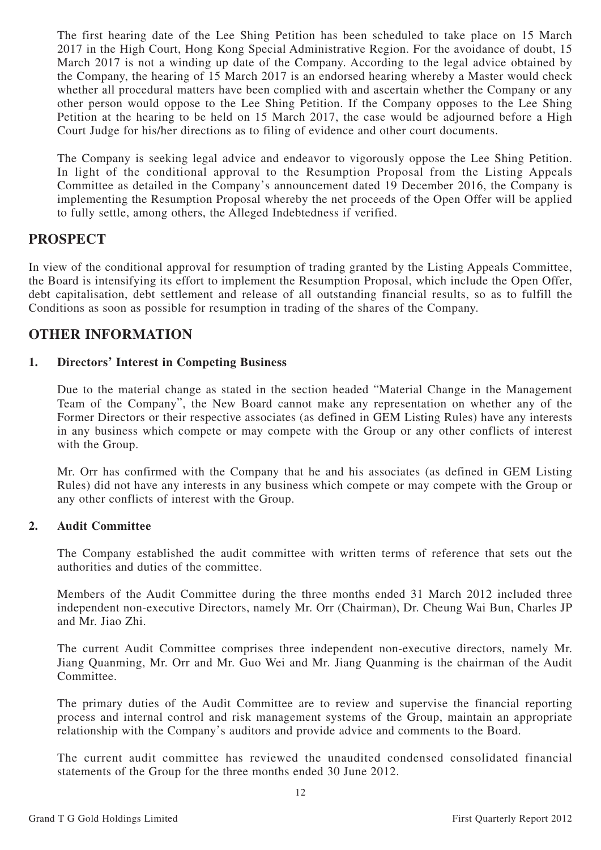The first hearing date of the Lee Shing Petition has been scheduled to take place on 15 March 2017 in the High Court, Hong Kong Special Administrative Region. For the avoidance of doubt, 15 March 2017 is not a winding up date of the Company. According to the legal advice obtained by the Company, the hearing of 15 March 2017 is an endorsed hearing whereby a Master would check whether all procedural matters have been complied with and ascertain whether the Company or any other person would oppose to the Lee Shing Petition. If the Company opposes to the Lee Shing Petition at the hearing to be held on 15 March 2017, the case would be adjourned before a High Court Judge for his/her directions as to filing of evidence and other court documents.

The Company is seeking legal advice and endeavor to vigorously oppose the Lee Shing Petition. In light of the conditional approval to the Resumption Proposal from the Listing Appeals Committee as detailed in the Company's announcement dated 19 December 2016, the Company is implementing the Resumption Proposal whereby the net proceeds of the Open Offer will be applied to fully settle, among others, the Alleged Indebtedness if verified.

## **PROSPECT**

In view of the conditional approval for resumption of trading granted by the Listing Appeals Committee, the Board is intensifying its effort to implement the Resumption Proposal, which include the Open Offer, debt capitalisation, debt settlement and release of all outstanding financial results, so as to fulfill the Conditions as soon as possible for resumption in trading of the shares of the Company.

## **OTHER INFORMATION**

#### **1. Directors' Interest in Competing Business**

Due to the material change as stated in the section headed "Material Change in the Management Team of the Company", the New Board cannot make any representation on whether any of the Former Directors or their respective associates (as defined in GEM Listing Rules) have any interests in any business which compete or may compete with the Group or any other conflicts of interest with the Group.

Mr. Orr has confirmed with the Company that he and his associates (as defined in GEM Listing Rules) did not have any interests in any business which compete or may compete with the Group or any other conflicts of interest with the Group.

#### **2. Audit Committee**

The Company established the audit committee with written terms of reference that sets out the authorities and duties of the committee.

Members of the Audit Committee during the three months ended 31 March 2012 included three independent non-executive Directors, namely Mr. Orr (Chairman), Dr. Cheung Wai Bun, Charles JP and Mr. Jiao Zhi.

The current Audit Committee comprises three independent non-executive directors, namely Mr. Jiang Quanming, Mr. Orr and Mr. Guo Wei and Mr. Jiang Quanming is the chairman of the Audit Committee.

The primary duties of the Audit Committee are to review and supervise the financial reporting process and internal control and risk management systems of the Group, maintain an appropriate relationship with the Company's auditors and provide advice and comments to the Board.

The current audit committee has reviewed the unaudited condensed consolidated financial statements of the Group for the three months ended 30 June 2012.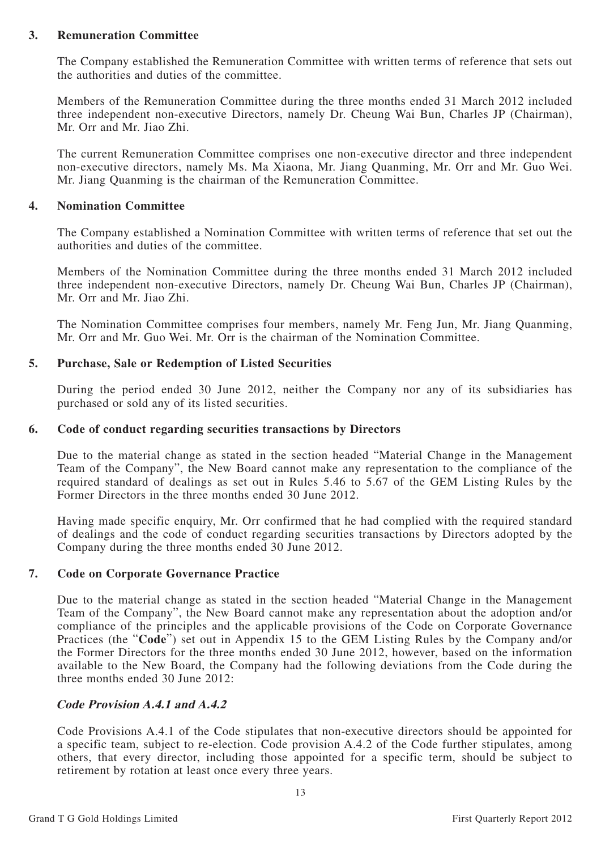#### **3. Remuneration Committee**

The Company established the Remuneration Committee with written terms of reference that sets out the authorities and duties of the committee.

Members of the Remuneration Committee during the three months ended 31 March 2012 included three independent non-executive Directors, namely Dr. Cheung Wai Bun, Charles JP (Chairman), Mr. Orr and Mr. Jiao Zhi.

The current Remuneration Committee comprises one non-executive director and three independent non-executive directors, namely Ms. Ma Xiaona, Mr. Jiang Quanming, Mr. Orr and Mr. Guo Wei. Mr. Jiang Quanming is the chairman of the Remuneration Committee.

#### **4. Nomination Committee**

The Company established a Nomination Committee with written terms of reference that set out the authorities and duties of the committee.

Members of the Nomination Committee during the three months ended 31 March 2012 included three independent non-executive Directors, namely Dr. Cheung Wai Bun, Charles JP (Chairman), Mr. Orr and Mr. Jiao Zhi.

The Nomination Committee comprises four members, namely Mr. Feng Jun, Mr. Jiang Quanming, Mr. Orr and Mr. Guo Wei. Mr. Orr is the chairman of the Nomination Committee.

#### **5. Purchase, Sale or Redemption of Listed Securities**

During the period ended 30 June 2012, neither the Company nor any of its subsidiaries has purchased or sold any of its listed securities.

#### **6. Code of conduct regarding securities transactions by Directors**

Due to the material change as stated in the section headed "Material Change in the Management Team of the Company", the New Board cannot make any representation to the compliance of the required standard of dealings as set out in Rules 5.46 to 5.67 of the GEM Listing Rules by the Former Directors in the three months ended 30 June 2012.

Having made specific enquiry, Mr. Orr confirmed that he had complied with the required standard of dealings and the code of conduct regarding securities transactions by Directors adopted by the Company during the three months ended 30 June 2012.

#### **7. Code on Corporate Governance Practice**

Due to the material change as stated in the section headed "Material Change in the Management Team of the Company", the New Board cannot make any representation about the adoption and/or compliance of the principles and the applicable provisions of the Code on Corporate Governance Practices (the "**Code**") set out in Appendix 15 to the GEM Listing Rules by the Company and/or the Former Directors for the three months ended 30 June 2012, however, based on the information available to the New Board, the Company had the following deviations from the Code during the three months ended 30 June 2012:

#### **Code Provision A.4.1 and A.4.2**

Code Provisions A.4.1 of the Code stipulates that non-executive directors should be appointed for a specific team, subject to re-election. Code provision A.4.2 of the Code further stipulates, among others, that every director, including those appointed for a specific term, should be subject to retirement by rotation at least once every three years.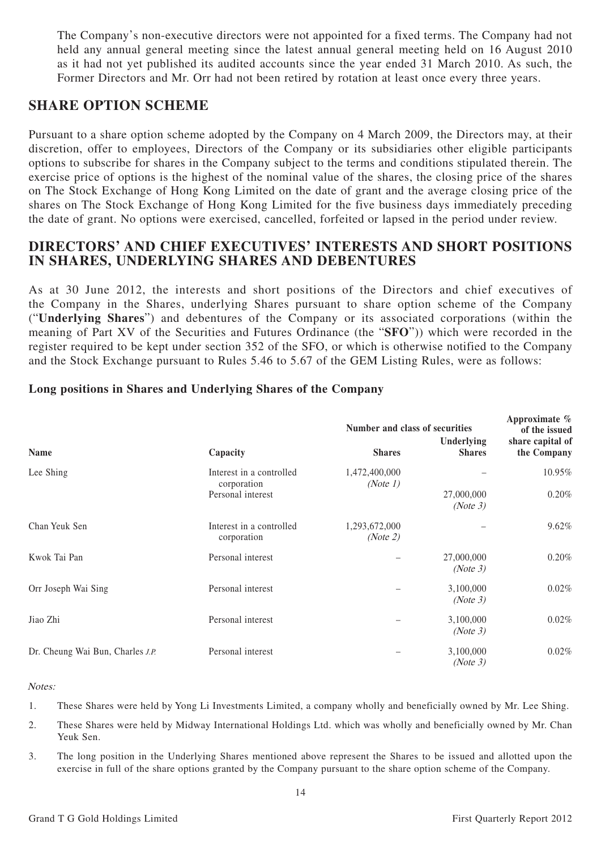The Company's non-executive directors were not appointed for a fixed terms. The Company had not held any annual general meeting since the latest annual general meeting held on 16 August 2010 as it had not yet published its audited accounts since the year ended 31 March 2010. As such, the Former Directors and Mr. Orr had not been retired by rotation at least once every three years.

## **SHARE OPTION SCHEME**

Pursuant to a share option scheme adopted by the Company on 4 March 2009, the Directors may, at their discretion, offer to employees, Directors of the Company or its subsidiaries other eligible participants options to subscribe for shares in the Company subject to the terms and conditions stipulated therein. The exercise price of options is the highest of the nominal value of the shares, the closing price of the shares on The Stock Exchange of Hong Kong Limited on the date of grant and the average closing price of the shares on The Stock Exchange of Hong Kong Limited for the five business days immediately preceding the date of grant. No options were exercised, cancelled, forfeited or lapsed in the period under review.

## **DIRECTORS' AND CHIEF EXECUTIVES' INTERESTS AND SHORT POSITIONS IN SHARES, UNDERLYING SHARES AND DEBENTURES**

As at 30 June 2012, the interests and short positions of the Directors and chief executives of the Company in the Shares, underlying Shares pursuant to share option scheme of the Company ("**Underlying Shares**") and debentures of the Company or its associated corporations (within the meaning of Part XV of the Securities and Futures Ordinance (the "**SFO**")) which were recorded in the register required to be kept under section 352 of the SFO, or which is otherwise notified to the Company and the Stock Exchange pursuant to Rules 5.46 to 5.67 of the GEM Listing Rules, were as follows:

|                                         |                                         | Number and class of securities | Approximate %<br>of the issued |                                 |
|-----------------------------------------|-----------------------------------------|--------------------------------|--------------------------------|---------------------------------|
| Name                                    | Capacity                                | <b>Shares</b>                  | Underlying<br><b>Shares</b>    | share capital of<br>the Company |
| Lee Shing                               | Interest in a controlled<br>corporation | 1,472,400,000<br>(Note 1)      |                                | 10.95%                          |
|                                         | Personal interest                       |                                | 27,000,000<br>(Note 3)         | 0.20%                           |
| Chan Yeuk Sen                           | Interest in a controlled<br>corporation | 1,293,672,000<br>(Note 2)      |                                | 9.62%                           |
| Kwok Tai Pan                            | Personal interest                       |                                | 27,000,000<br>(Note 3)         | 0.20%                           |
| Orr Joseph Wai Sing                     | Personal interest                       |                                | 3,100,000<br>(Note 3)          | 0.02%                           |
| Jiao Zhi                                | Personal interest                       |                                | 3,100,000<br>(Note 3)          | 0.02%                           |
| Dr. Cheung Wai Bun, Charles <i>J.P.</i> | Personal interest                       |                                | 3,100,000<br>(Note 3)          | 0.02%                           |

### **Long positions in Shares and Underlying Shares of the Company**

#### Notes:

- 1. These Shares were held by Yong Li Investments Limited, a company wholly and beneficially owned by Mr. Lee Shing.
- 2. These Shares were held by Midway International Holdings Ltd. which was wholly and beneficially owned by Mr. Chan Yeuk Sen.
- 3. The long position in the Underlying Shares mentioned above represent the Shares to be issued and allotted upon the exercise in full of the share options granted by the Company pursuant to the share option scheme of the Company.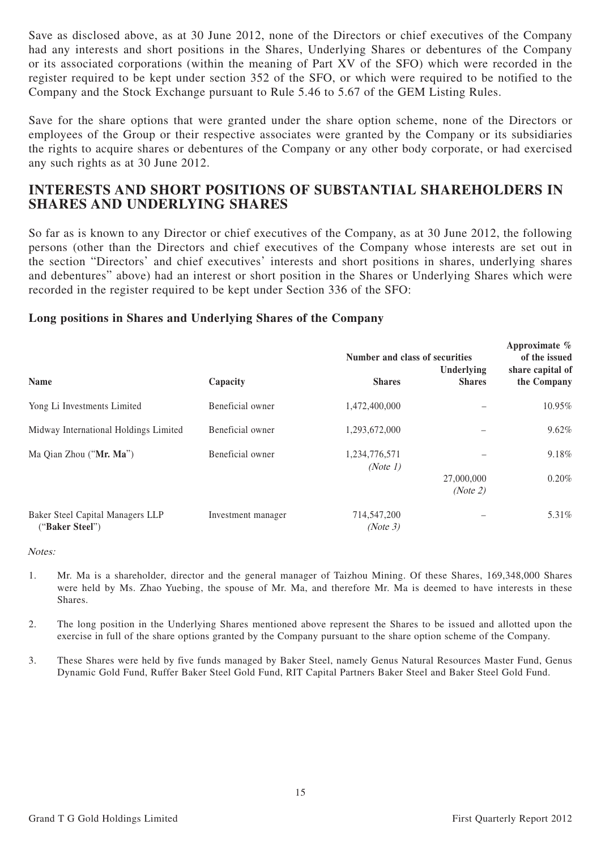Save as disclosed above, as at 30 June 2012, none of the Directors or chief executives of the Company had any interests and short positions in the Shares, Underlying Shares or debentures of the Company or its associated corporations (within the meaning of Part XV of the SFO) which were recorded in the register required to be kept under section 352 of the SFO, or which were required to be notified to the Company and the Stock Exchange pursuant to Rule 5.46 to 5.67 of the GEM Listing Rules.

Save for the share options that were granted under the share option scheme, none of the Directors or employees of the Group or their respective associates were granted by the Company or its subsidiaries the rights to acquire shares or debentures of the Company or any other body corporate, or had exercised any such rights as at 30 June 2012.

## **INTERESTS AND SHORT POSITIONS OF SUBSTANTIAL SHAREHOLDERS IN SHARES AND UNDERLYING SHARES**

So far as is known to any Director or chief executives of the Company, as at 30 June 2012, the following persons (other than the Directors and chief executives of the Company whose interests are set out in the section "Directors' and chief executives' interests and short positions in shares, underlying shares and debentures" above) had an interest or short position in the Shares or Underlying Shares which were recorded in the register required to be kept under Section 336 of the SFO:

#### **Long positions in Shares and Underlying Shares of the Company**

|                                                     |                    | Number and class of securities | Approximate %<br>of the issued<br>share capital of |             |
|-----------------------------------------------------|--------------------|--------------------------------|----------------------------------------------------|-------------|
| <b>Name</b>                                         | Capacity           | <b>Shares</b>                  | Underlying<br><b>Shares</b>                        | the Company |
| Yong Li Investments Limited                         | Beneficial owner   | 1,472,400,000                  |                                                    | 10.95%      |
| Midway International Holdings Limited               | Beneficial owner   | 1,293,672,000                  |                                                    | 9.62%       |
| Ma Qian Zhou ("Mr. Ma")                             | Beneficial owner   | 1,234,776,571<br>(Note 1)      |                                                    | 9.18%       |
|                                                     |                    |                                | 27,000,000<br>(Note 2)                             | 0.20%       |
| Baker Steel Capital Managers LLP<br>("Baker Steel") | Investment manager | 714,547,200<br>(Note 3)        |                                                    | 5.31%       |

Notes:

- 1. Mr. Ma is a shareholder, director and the general manager of Taizhou Mining. Of these Shares, 169,348,000 Shares were held by Ms. Zhao Yuebing, the spouse of Mr. Ma, and therefore Mr. Ma is deemed to have interests in these Shares.
- 2. The long position in the Underlying Shares mentioned above represent the Shares to be issued and allotted upon the exercise in full of the share options granted by the Company pursuant to the share option scheme of the Company.
- 3. These Shares were held by five funds managed by Baker Steel, namely Genus Natural Resources Master Fund, Genus Dynamic Gold Fund, Ruffer Baker Steel Gold Fund, RIT Capital Partners Baker Steel and Baker Steel Gold Fund.